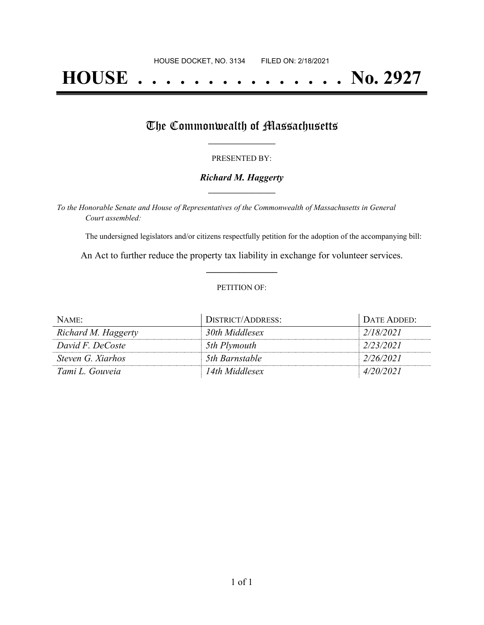# **HOUSE . . . . . . . . . . . . . . . No. 2927**

### The Commonwealth of Massachusetts

#### PRESENTED BY:

#### *Richard M. Haggerty* **\_\_\_\_\_\_\_\_\_\_\_\_\_\_\_\_\_**

*To the Honorable Senate and House of Representatives of the Commonwealth of Massachusetts in General Court assembled:*

The undersigned legislators and/or citizens respectfully petition for the adoption of the accompanying bill:

An Act to further reduce the property tax liability in exchange for volunteer services. **\_\_\_\_\_\_\_\_\_\_\_\_\_\_\_**

#### PETITION OF:

| NAME:               | DISTRICT/ADDRESS: | DATE ADDED: |
|---------------------|-------------------|-------------|
| Richard M. Haggerty | 30th Middlesex    | 2/18/2021   |
| David F. DeCoste    | 5th Plymouth      | 2/23/2021   |
| Steven G. Xiarhos   | 5th Barnstable    | 2/26/2021   |
| Tami L. Gouveia     | 14th Middlesex    | 4/20/2021   |